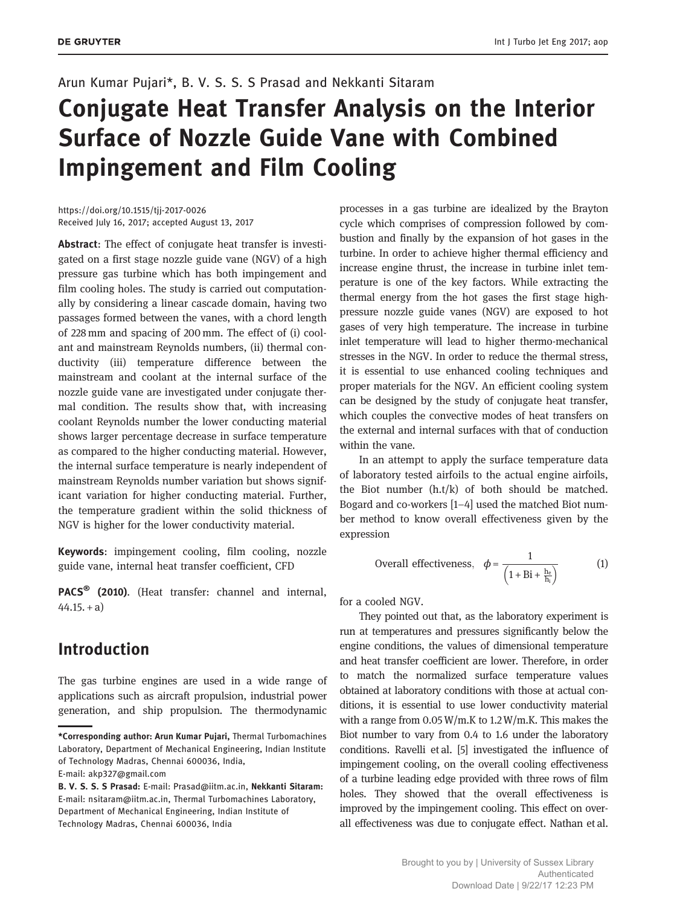#### Arun Kumar Pujari\*, B. V. S. S. S Prasad and Nekkanti Sitaram

# Conjugate Heat Transfer Analysis on the Interior Surface of Nozzle Guide Vane with Combined Impingement and Film Cooling

https://doi.org/10.1515/tjj-2017-0026 Received July 16, 2017; accepted August 13, 2017

Abstract: The effect of conjugate heat transfer is investigated on a first stage nozzle guide vane (NGV) of a high pressure gas turbine which has both impingement and film cooling holes. The study is carried out computationally by considering a linear cascade domain, having two passages formed between the vanes, with a chord length of 228 mm and spacing of 200 mm. The effect of (i) coolant and mainstream Reynolds numbers, (ii) thermal conductivity (iii) temperature difference between the mainstream and coolant at the internal surface of the nozzle guide vane are investigated under conjugate thermal condition. The results show that, with increasing coolant Reynolds number the lower conducting material shows larger percentage decrease in surface temperature as compared to the higher conducting material. However, the internal surface temperature is nearly independent of mainstream Reynolds number variation but shows significant variation for higher conducting material. Further, the temperature gradient within the solid thickness of NGV is higher for the lower conductivity material.

Keywords: impingement cooling, film cooling, nozzle guide vane, internal heat transfer coefficient, CFD

PACS<sup>®</sup> (2010). (Heat transfer: channel and internal,  $44.15.+a)$ 

## Introduction

The gas turbine engines are used in a wide range of applications such as aircraft propulsion, industrial power generation, and ship propulsion. The thermodynamic processes in a gas turbine are idealized by the Brayton cycle which comprises of compression followed by combustion and finally by the expansion of hot gases in the turbine. In order to achieve higher thermal efficiency and increase engine thrust, the increase in turbine inlet temperature is one of the key factors. While extracting the thermal energy from the hot gases the first stage highpressure nozzle guide vanes (NGV) are exposed to hot gases of very high temperature. The increase in turbine inlet temperature will lead to higher thermo-mechanical stresses in the NGV. In order to reduce the thermal stress, it is essential to use enhanced cooling techniques and proper materials for the NGV. An efficient cooling system can be designed by the study of conjugate heat transfer, which couples the convective modes of heat transfers on the external and internal surfaces with that of conduction within the vane.

In an attempt to apply the surface temperature data of laboratory tested airfoils to the actual engine airfoils, the Biot number (h.t/k) of both should be matched. Bogard and co-workers [1–4] used the matched Biot number method to know overall effectiveness given by the expression

Overall effectiveness, 
$$
\phi = \frac{1}{\left(1 + \text{Bi} + \frac{\text{h}_e}{\text{h}_i}\right)}
$$
 (1)

for a cooled NGV.

They pointed out that, as the laboratory experiment is run at temperatures and pressures significantly below the engine conditions, the values of dimensional temperature and heat transfer coefficient are lower. Therefore, in order to match the normalized surface temperature values obtained at laboratory conditions with those at actual conditions, it is essential to use lower conductivity material with a range from 0.05 W/m.K to 1.2 W/m.K. This makes the Biot number to vary from 0.4 to 1.6 under the laboratory conditions. Ravelli et al. [5] investigated the influence of impingement cooling, on the overall cooling effectiveness of a turbine leading edge provided with three rows of film holes. They showed that the overall effectiveness is improved by the impingement cooling. This effect on overall effectiveness was due to conjugate effect. Nathan et al.

<sup>\*</sup>Corresponding author: Arun Kumar Pujari, Thermal Turbomachines Laboratory, Department of Mechanical Engineering, Indian Institute of Technology Madras, Chennai 600036, India,

E-mail: akp327@gmail.com

B. V. S. S. S Prasad: E-mail: Prasad@iitm.ac.in, Nekkanti Sitaram: E-mail: nsitaram@iitm.ac.in, Thermal Turbomachines Laboratory, Department of Mechanical Engineering, Indian Institute of Technology Madras, Chennai 600036, India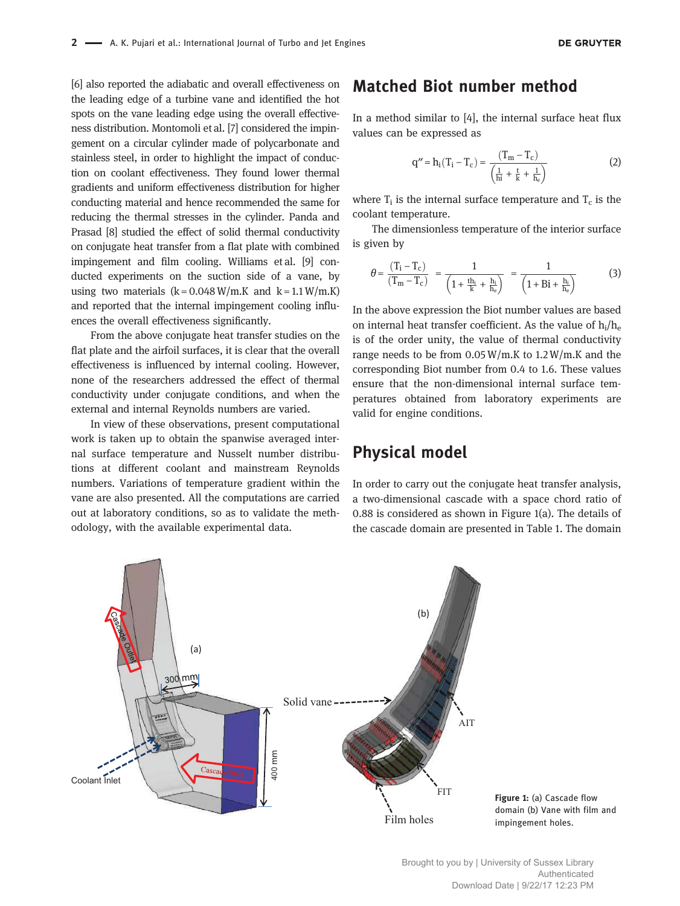[6] also reported the adiabatic and overall effectiveness on the leading edge of a turbine vane and identified the hot spots on the vane leading edge using the overall effectiveness distribution. Montomoli et al. [7] considered the impingement on a circular cylinder made of polycarbonate and stainless steel, in order to highlight the impact of conduction on coolant effectiveness. They found lower thermal gradients and uniform effectiveness distribution for higher conducting material and hence recommended the same for reducing the thermal stresses in the cylinder. Panda and Prasad [8] studied the effect of solid thermal conductivity on conjugate heat transfer from a flat plate with combined impingement and film cooling. Williams et al. [9] conducted experiments on the suction side of a vane, by using two materials  $(k = 0.048 \text{ W/m}$ .K and  $k = 1.1 \text{ W/m}$ .K) and reported that the internal impingement cooling influences the overall effectiveness significantly.

From the above conjugate heat transfer studies on the flat plate and the airfoil surfaces, it is clear that the overall effectiveness is influenced by internal cooling. However, none of the researchers addressed the effect of thermal conductivity under conjugate conditions, and when the external and internal Reynolds numbers are varied.

In view of these observations, present computational work is taken up to obtain the spanwise averaged internal surface temperature and Nusselt number distributions at different coolant and mainstream Reynolds numbers. Variations of temperature gradient within the vane are also presented. All the computations are carried out at laboratory conditions, so as to validate the methodology, with the available experimental data.

## Matched Biot number method

In a method similar to [4], the internal surface heat flux values can be expressed as

$$
q'' = h_i (T_i - T_c) = \frac{(T_m - T_c)}{\left(\frac{1}{hi} + \frac{t}{k} + \frac{1}{h_c}\right)}
$$
(2)

where  $T_i$  is the internal surface temperature and  $T_c$  is the coolant temperature.

The dimensionless temperature of the interior surface is given by

$$
\theta = \frac{(T_i - T_c)}{(T_m - T_c)} = \frac{1}{\left(1 + \frac{th_i}{k} + \frac{h_i}{h_e}\right)} = \frac{1}{\left(1 + Bi + \frac{h_i}{h_e}\right)}\tag{3}
$$

In the above expression the Biot number values are based on internal heat transfer coefficient. As the value of  $h_i/h_e$ is of the order unity, the value of thermal conductivity range needs to be from  $0.05 W/m$ .K to  $1.2 W/m$ .K and the corresponding Biot number from 0.4 to 1.6. These values ensure that the non-dimensional internal surface temperatures obtained from laboratory experiments are valid for engine conditions.

## Physical model

In order to carry out the conjugate heat transfer analysis, a two-dimensional cascade with a space chord ratio of 0.88 is considered as shown in Figure 1(a). The details of the cascade domain are presented in Table 1. The domain

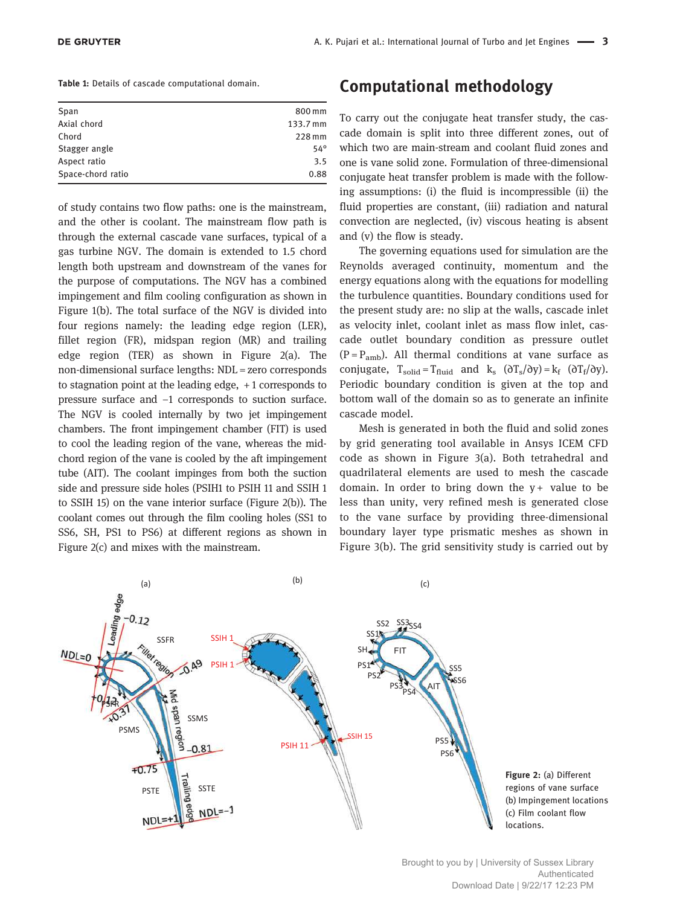| Span              | 800 mm     |
|-------------------|------------|
| Axial chord       | 133.7 mm   |
| Chord             | 228 mm     |
| Stagger angle     | $54^\circ$ |
| Aspect ratio      | 3.5        |
| Space-chord ratio | 0.88       |
|                   |            |

of study contains two flow paths: one is the mainstream, and the other is coolant. The mainstream flow path is through the external cascade vane surfaces, typical of a gas turbine NGV. The domain is extended to 1.5 chord length both upstream and downstream of the vanes for the purpose of computations. The NGV has a combined impingement and film cooling configuration as shown in Figure 1(b). The total surface of the NGV is divided into four regions namely: the leading edge region (LER), fillet region (FR), midspan region (MR) and trailing edge region (TER) as shown in Figure 2(a). The non-dimensional surface lengths: NDL = zero corresponds to stagnation point at the leading edge, + 1 corresponds to pressure surface and −1 corresponds to suction surface. The NGV is cooled internally by two jet impingement chambers. The front impingement chamber (FIT) is used to cool the leading region of the vane, whereas the midchord region of the vane is cooled by the aft impingement tube (AIT). The coolant impinges from both the suction side and pressure side holes (PSIH1 to PSIH 11 and SSIH 1 to SSIH 15) on the vane interior surface (Figure 2(b)). The coolant comes out through the film cooling holes (SS1 to SS6, SH, PS1 to PS6) at different regions as shown in Figure 2(c) and mixes with the mainstream.

# Computational methodology

To carry out the conjugate heat transfer study, the cascade domain is split into three different zones, out of which two are main-stream and coolant fluid zones and one is vane solid zone. Formulation of three-dimensional conjugate heat transfer problem is made with the following assumptions: (i) the fluid is incompressible (ii) the fluid properties are constant, (iii) radiation and natural convection are neglected, (iv) viscous heating is absent and (v) the flow is steady.

The governing equations used for simulation are the Reynolds averaged continuity, momentum and the energy equations along with the equations for modelling the turbulence quantities. Boundary conditions used for the present study are: no slip at the walls, cascade inlet as velocity inlet, coolant inlet as mass flow inlet, cascade outlet boundary condition as pressure outlet  $(P = P_{amb})$ . All thermal conditions at vane surface as conjugate,  $T_{solid} = T_{fluid}$  and  $k_s$  ( $\partial T_s / \partial y$ ) =  $k_f$  ( $\partial T_f / \partial y$ ). Periodic boundary condition is given at the top and bottom wall of the domain so as to generate an infinite cascade model.

Mesh is generated in both the fluid and solid zones by grid generating tool available in Ansys ICEM CFD code as shown in Figure 3(a). Both tetrahedral and quadrilateral elements are used to mesh the cascade domain. In order to bring down the  $y +$  value to be less than unity, very refined mesh is generated close to the vane surface by providing three-dimensional boundary layer type prismatic meshes as shown in Figure 3(b). The grid sensitivity study is carried out by



Brought to you by | University of Sussex Library Authenticated Download Date | 9/22/17 12:23 PM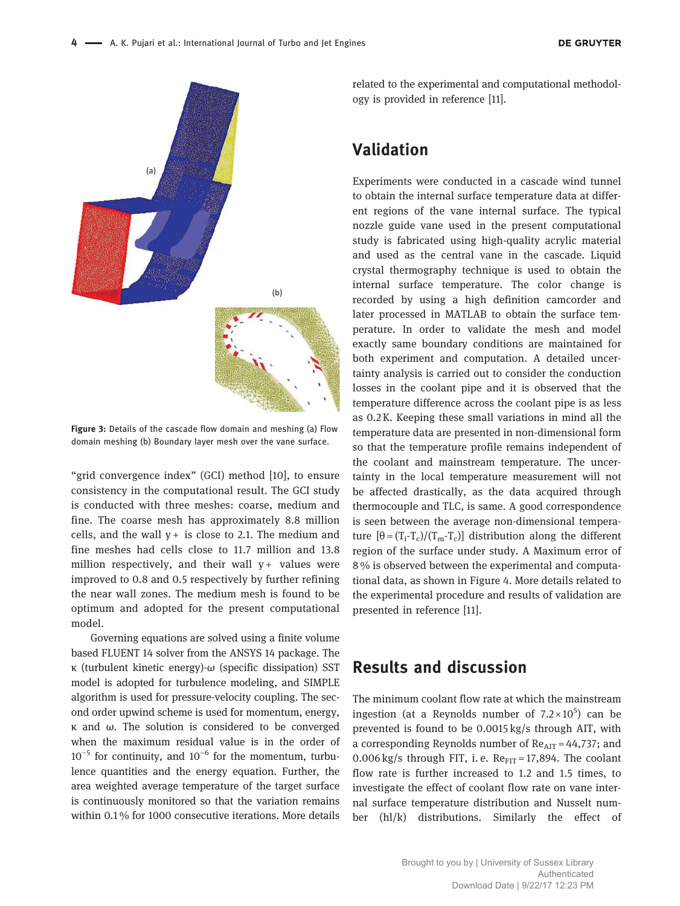

Figure 3: Details of the cascade flow domain and meshing (a) Flow domain meshing (b) Boundary layer mesh over the vane surface.

"grid convergence index" (GCI) method [10], to ensure consistency in the computational result. The GCI study is conducted with three meshes: coarse, medium and fine. The coarse mesh has approximately 8.8 million cells, and the wall  $y +$  is close to 2.1. The medium and fine meshes had cells close to 11.7 million and 13.8 million respectively, and their wall  $v + v$  values were improved to 0.8 and 0.5 respectively by further refining the near wall zones. The medium mesh is found to be optimum and adopted for the present computational model.

Governing equations are solved using a finite volume based FLUENT 14 solver from the ANSYS 14 package. The κ (turbulent kinetic energy)-ω (specific dissipation) SST model is adopted for turbulence modeling, and SIMPLE algorithm is used for pressure-velocity coupling. The second order upwind scheme is used for momentum, energy, κ and ω. The solution is considered to be converged when the maximum residual value is in the order of  $10^{-5}$  for continuity, and  $10^{-6}$  for the momentum, turbulence quantities and the energy equation. Further, the area weighted average temperature of the target surface is continuously monitored so that the variation remains within 0.1 % for 1000 consecutive iterations. More details

related to the experimental and computational methodology is provided in reference [11].

## Validation

Experiments were conducted in a cascade wind tunnel to obtain the internal surface temperature data at different regions of the vane internal surface. The typical nozzle guide vane used in the present computational study is fabricated using high-quality acrylic material and used as the central vane in the cascade. Liquid crystal thermography technique is used to obtain the internal surface temperature. The color change is recorded by using a high definition camcorder and later processed in MATLAB to obtain the surface temperature. In order to validate the mesh and model exactly same boundary conditions are maintained for both experiment and computation. A detailed uncertainty analysis is carried out to consider the conduction losses in the coolant pipe and it is observed that the temperature difference across the coolant pipe is as less as 0.2 K. Keeping these small variations in mind all the temperature data are presented in non-dimensional form so that the temperature profile remains independent of the coolant and mainstream temperature. The uncertainty in the local temperature measurement will not be affected drastically, as the data acquired through thermocouple and TLC, is same. A good correspondence is seen between the average non-dimensional temperature  $[θ = (T_i - T_c)/(T_m - T_c)]$  distribution along the different region of the surface under study. A Maximum error of 8 % is observed between the experimental and computational data, as shown in Figure 4. More details related to the experimental procedure and results of validation are presented in reference [11].

## Results and discussion

The minimum coolant flow rate at which the mainstream ingestion (at a Reynolds number of  $7.2 \times 10^5$ ) can be prevented is found to be 0.0015 kg/s through AIT, with a corresponding Reynolds number of  $Re<sub>AIT</sub> = 44,737$ ; and 0.006 kg/s through FIT, i.e.  $Re_{\text{FIT}} = 17,894$ . The coolant flow rate is further increased to 1.2 and 1.5 times, to investigate the effect of coolant flow rate on vane internal surface temperature distribution and Nusselt number (hl/k) distributions. Similarly the effect of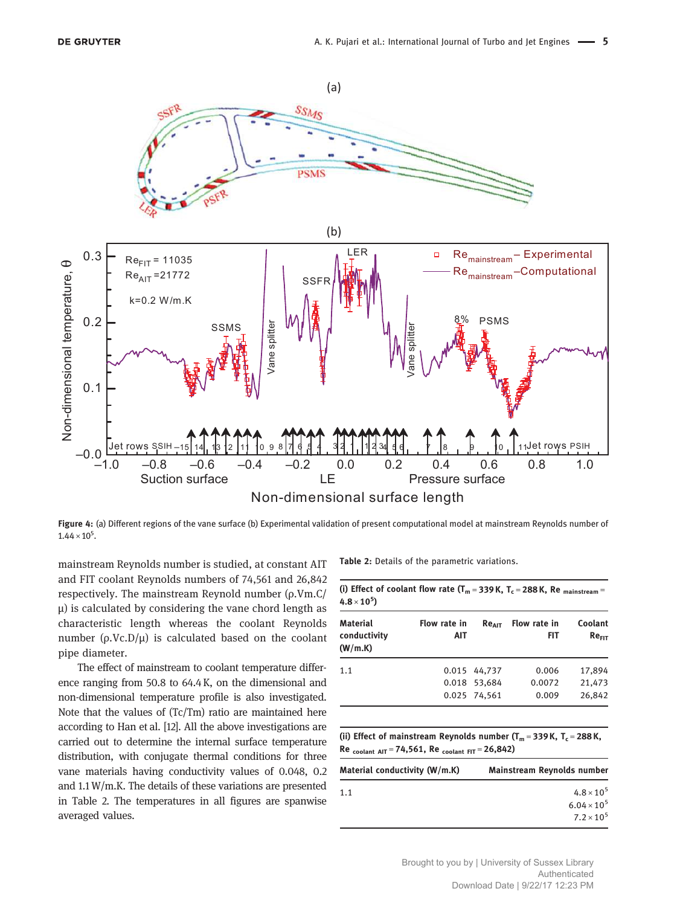

Figure 4: (a) Different regions of the vane surface (b) Experimental validation of present computational model at mainstream Reynolds number of  $1.44 \times 10^5$ .

mainstream Reynolds number is studied, at constant AIT and FIT coolant Reynolds numbers of 74,561 and 26,842 respectively. The mainstream Reynold number (ρ.Vm.C/ μ) is calculated by considering the vane chord length as characteristic length whereas the coolant Reynolds number ( $ρ$ .Vc.D/ $μ$ ) is calculated based on the coolant pipe diameter.

The effect of mainstream to coolant temperature difference ranging from 50.8 to 64.4 K, on the dimensional and non-dimensional temperature profile is also investigated. Note that the values of (Tc/Tm) ratio are maintained here according to Han et al. [12]. All the above investigations are carried out to determine the internal surface temperature distribution, with conjugate thermal conditions for three vane materials having conductivity values of 0.048, 0.2 and 1.1 W/m.K. The details of these variations are presented in Table 2. The temperatures in all figures are spanwise averaged values.

Table 2: Details of the parametric variations.

| Material<br>conductivity<br>(W/m.K) | Flow rate in<br>AIT |              | $Re_{\text{diff}}$ Flow rate in<br><b>FIT</b> | Coolant<br>Re <sub>FIT</sub> |
|-------------------------------------|---------------------|--------------|-----------------------------------------------|------------------------------|
| 1.1                                 |                     | 0.015 44.737 | 0.006                                         | 17.894                       |
|                                     |                     | 0.018 53.684 | 0.0072                                        | 21,473                       |
|                                     |                     | 0.025 74,561 | 0.009                                         | 26,842                       |

| Mainstream Reynolds number |
|----------------------------|
| $4.8 \times 10^{5}$        |
| $6.04 \times 10^{5}$       |
| $7.2 \times 10^{5}$        |
|                            |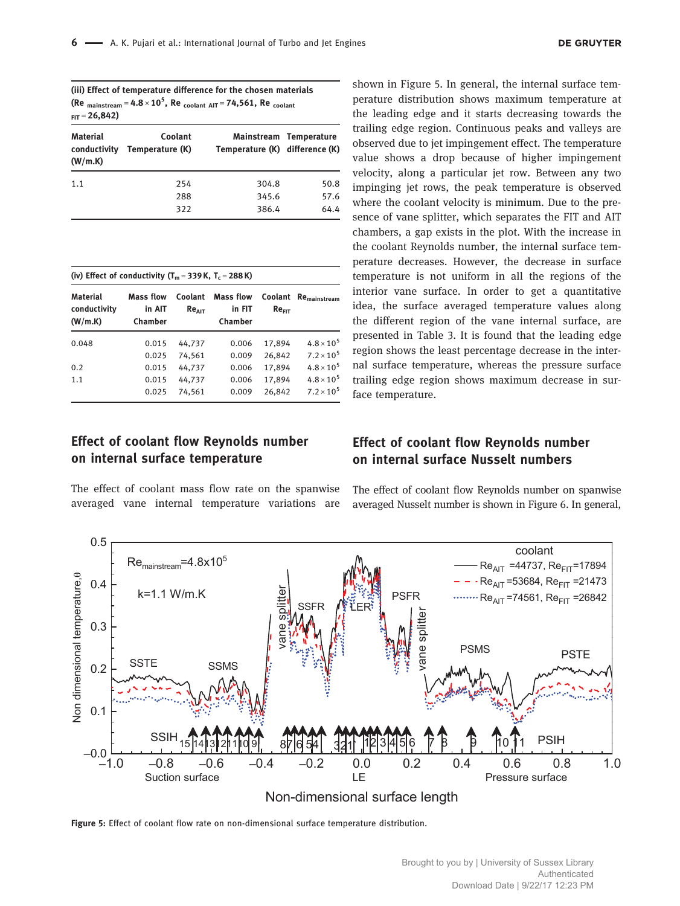| (iii) Effect of temperature difference for the chosen materials          |
|--------------------------------------------------------------------------|
| (Re mainstream = $4.8 \times 10^5$ , Re coolant AIT = 74,561, Re coolant |
| $_{FIT}$ = 26,842)                                                       |

| <b>Material</b><br>conductivity<br>(W/m.K) | Coolant<br>Temperature (K) | Temperature (K) difference (K) | Mainstream Temperature |
|--------------------------------------------|----------------------------|--------------------------------|------------------------|
| 1.1                                        | 254                        | 304.8                          | 50.8                   |
|                                            | 288                        | 345.6                          | 57.6                   |
|                                            | 322                        | 386.4                          | 64.4                   |

| (iv) Effect of conductivity $(T_m = 339 \text{ K}, T_c = 288 \text{ K})$ |                                |                       |                                       |                              |                          |
|--------------------------------------------------------------------------|--------------------------------|-----------------------|---------------------------------------|------------------------------|--------------------------|
| <b>Material</b><br>conductivity<br>(W/m.K)                               | Mass flow<br>in AIT<br>Chamber | Coolant<br>$Re_{AIT}$ | <b>Mass flow</b><br>in FIT<br>Chamber | Coolant<br>Re <sub>FIT</sub> | Re <sub>mainstream</sub> |
| 0.048                                                                    | 0.015                          | 44,737                | 0.006                                 | 17,894                       | $4.8 \times 10^{5}$      |
|                                                                          | 0.025                          | 74.561                | 0.009                                 | 26,842                       | $7.2 \times 10^5$        |
| 0.2                                                                      | 0.015                          | 44,737                | 0.006                                 | 17,894                       | $4.8 \times 10^{5}$      |
| 1.1                                                                      | 0.015                          | 44,737                | 0.006                                 | 17,894                       | $4.8 \times 10^{5}$      |
|                                                                          | 0.025                          | 74.561                | 0.009                                 | 26,842                       | $7.2 \times 10^5$        |

## Effect of coolant flow Reynolds number on internal surface temperature

The effect of coolant mass flow rate on the spanwise averaged vane internal temperature variations are shown in Figure 5. In general, the internal surface temperature distribution shows maximum temperature at the leading edge and it starts decreasing towards the trailing edge region. Continuous peaks and valleys are observed due to jet impingement effect. The temperature value shows a drop because of higher impingement velocity, along a particular jet row. Between any two impinging jet rows, the peak temperature is observed where the coolant velocity is minimum. Due to the presence of vane splitter, which separates the FIT and AIT chambers, a gap exists in the plot. With the increase in the coolant Reynolds number, the internal surface temperature decreases. However, the decrease in surface temperature is not uniform in all the regions of the interior vane surface. In order to get a quantitative idea, the surface averaged temperature values along the different region of the vane internal surface, are presented in Table 3. It is found that the leading edge region shows the least percentage decrease in the internal surface temperature, whereas the pressure surface trailing edge region shows maximum decrease in surface temperature.

#### Effect of coolant flow Reynolds number on internal surface Nusselt numbers

The effect of coolant flow Reynolds number on spanwise averaged Nusselt number is shown in Figure 6. In general,



Figure 5: Effect of coolant flow rate on non-dimensional surface temperature distribution.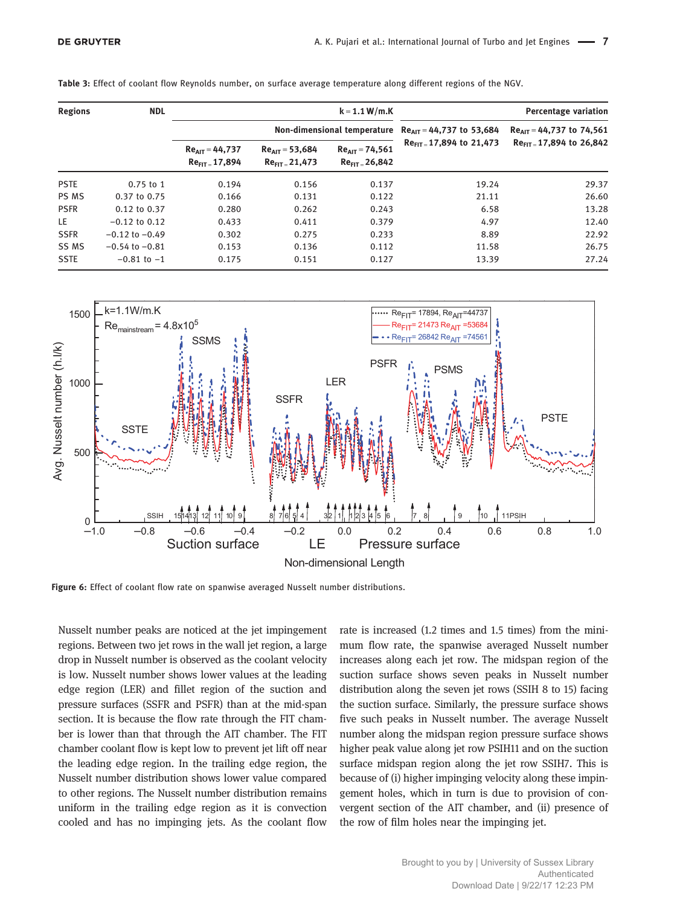| <b>Regions</b><br><b>NDL</b> |                    |                                            |                                            | $k = 1.1 W/m.K$                         |                               | <b>Percentage variation</b>   |
|------------------------------|--------------------|--------------------------------------------|--------------------------------------------|-----------------------------------------|-------------------------------|-------------------------------|
|                              |                    |                                            | Non-dimensional temperature                |                                         | $Re_{AIT}$ = 44,737 to 53,684 | $Re_{AIT}$ = 44,737 to 74,561 |
|                              |                    | $Re_{AIT} = 44,737$<br>$Re_{FIT} = 17,894$ | $Re_{AIT} = 53,684$<br>$Re_{FIT} = 21,473$ | $Re_{AIT} = 74,561$<br>$ReFIT - 26,842$ | $Re_{FIT}$ 17,894 to 21,473   | $Re_{FIT}$ 17,894 to 26,842   |
| <b>PSTE</b>                  | $0.75$ to 1        | 0.194                                      | 0.156                                      | 0.137                                   | 19.24                         | 29.37                         |
| PS MS                        | 0.37 to 0.75       | 0.166                                      | 0.131                                      | 0.122                                   | 21.11                         | 26.60                         |
| <b>PSFR</b>                  | 0.12 to 0.37       | 0.280                                      | 0.262                                      | 0.243                                   | 6.58                          | 13.28                         |
| LE.                          | $-0.12$ to 0.12    | 0.433                                      | 0.411                                      | 0.379                                   | 4.97                          | 12.40                         |
| <b>SSFR</b>                  | $-0.12$ to $-0.49$ | 0.302                                      | 0.275                                      | 0.233                                   | 8.89                          | 22.92                         |
| SS MS                        | $-0.54$ to $-0.81$ | 0.153                                      | 0.136                                      | 0.112                                   | 11.58                         | 26.75                         |
| <b>SSTE</b>                  | $-0.81$ to $-1$    | 0.175                                      | 0.151                                      | 0.127                                   | 13.39                         | 27.24                         |

Table 3: Effect of coolant flow Reynolds number, on surface average temperature along different regions of the NGV.



Figure 6: Effect of coolant flow rate on spanwise averaged Nusselt number distributions.

Nusselt number peaks are noticed at the jet impingement regions. Between two jet rows in the wall jet region, a large drop in Nusselt number is observed as the coolant velocity is low. Nusselt number shows lower values at the leading edge region (LER) and fillet region of the suction and pressure surfaces (SSFR and PSFR) than at the mid-span section. It is because the flow rate through the FIT chamber is lower than that through the AIT chamber. The FIT chamber coolant flow is kept low to prevent jet lift off near the leading edge region. In the trailing edge region, the Nusselt number distribution shows lower value compared to other regions. The Nusselt number distribution remains uniform in the trailing edge region as it is convection cooled and has no impinging jets. As the coolant flow

rate is increased (1.2 times and 1.5 times) from the minimum flow rate, the spanwise averaged Nusselt number increases along each jet row. The midspan region of the suction surface shows seven peaks in Nusselt number distribution along the seven jet rows (SSIH 8 to 15) facing the suction surface. Similarly, the pressure surface shows five such peaks in Nusselt number. The average Nusselt number along the midspan region pressure surface shows higher peak value along jet row PSIH11 and on the suction surface midspan region along the jet row SSIH7. This is because of (i) higher impinging velocity along these impingement holes, which in turn is due to provision of convergent section of the AIT chamber, and (ii) presence of the row of film holes near the impinging jet.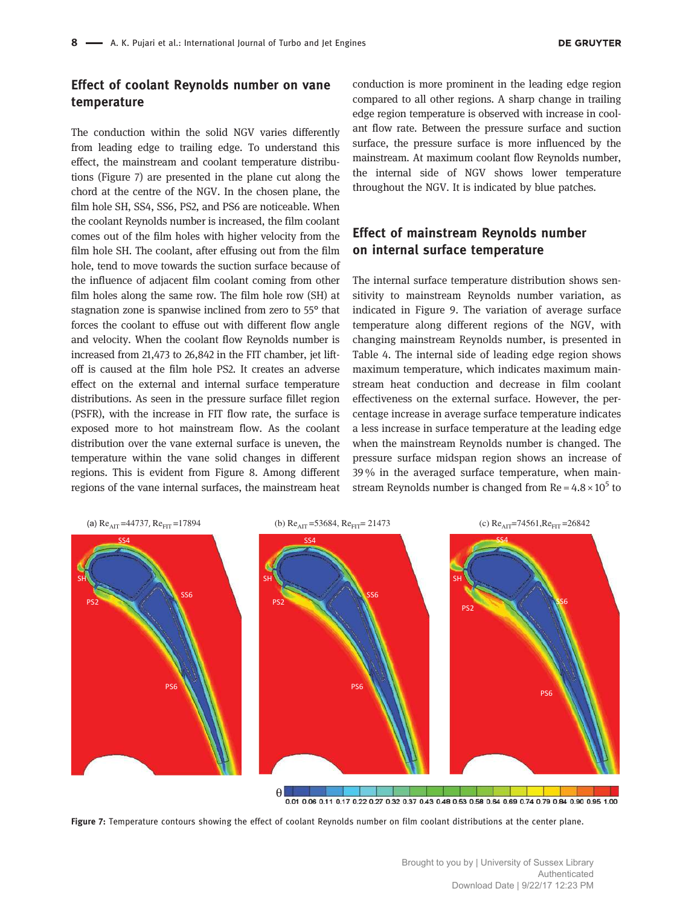#### Effect of coolant Reynolds number on vane temperature

The conduction within the solid NGV varies differently from leading edge to trailing edge. To understand this effect, the mainstream and coolant temperature distributions (Figure 7) are presented in the plane cut along the chord at the centre of the NGV. In the chosen plane, the film hole SH, SS4, SS6, PS2, and PS6 are noticeable. When the coolant Reynolds number is increased, the film coolant comes out of the film holes with higher velocity from the film hole SH. The coolant, after effusing out from the film hole, tend to move towards the suction surface because of the influence of adjacent film coolant coming from other film holes along the same row. The film hole row (SH) at stagnation zone is spanwise inclined from zero to 55° that forces the coolant to effuse out with different flow angle and velocity. When the coolant flow Reynolds number is increased from 21,473 to 26,842 in the FIT chamber, jet liftoff is caused at the film hole PS2. It creates an adverse effect on the external and internal surface temperature distributions. As seen in the pressure surface fillet region (PSFR), with the increase in FIT flow rate, the surface is exposed more to hot mainstream flow. As the coolant distribution over the vane external surface is uneven, the temperature within the vane solid changes in different regions. This is evident from Figure 8. Among different regions of the vane internal surfaces, the mainstream heat

conduction is more prominent in the leading edge region compared to all other regions. A sharp change in trailing edge region temperature is observed with increase in coolant flow rate. Between the pressure surface and suction surface, the pressure surface is more influenced by the mainstream. At maximum coolant flow Reynolds number, the internal side of NGV shows lower temperature throughout the NGV. It is indicated by blue patches.

#### Effect of mainstream Reynolds number on internal surface temperature

The internal surface temperature distribution shows sensitivity to mainstream Reynolds number variation, as indicated in Figure 9. The variation of average surface temperature along different regions of the NGV, with changing mainstream Reynolds number, is presented in Table 4. The internal side of leading edge region shows maximum temperature, which indicates maximum mainstream heat conduction and decrease in film coolant effectiveness on the external surface. However, the percentage increase in average surface temperature indicates a less increase in surface temperature at the leading edge when the mainstream Reynolds number is changed. The pressure surface midspan region shows an increase of 39 % in the averaged surface temperature, when mainstream Reynolds number is changed from  $Re = 4.8 \times 10^5$  to



Figure 7: Temperature contours showing the effect of coolant Reynolds number on film coolant distributions at the center plane.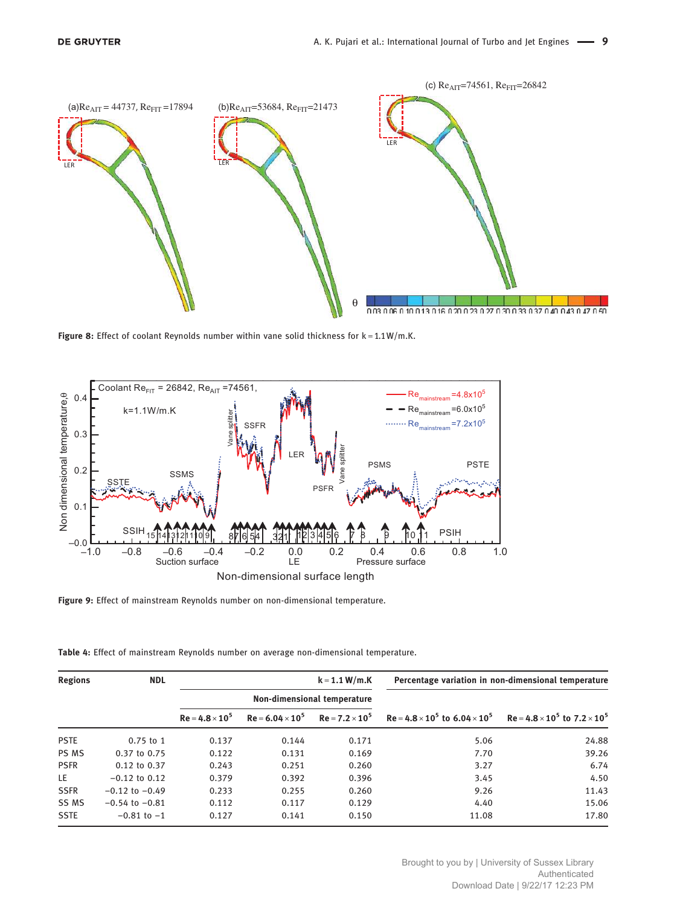

Figure 8: Effect of coolant Reynolds number within vane solid thickness for  $k = 1.1 W/m.K$ .



Figure 9: Effect of mainstream Reynolds number on non-dimensional temperature.

| Table 4: Effect of mainstream Reynolds number on average non-dimensional temperature. |  |  |  |  |
|---------------------------------------------------------------------------------------|--|--|--|--|
|---------------------------------------------------------------------------------------|--|--|--|--|

| <b>Regions</b> | <b>NDL</b>         |                        |                         | $k = 1.1 W/m.K$             |                                                                                          | Percentage variation in non-dimensional temperature |
|----------------|--------------------|------------------------|-------------------------|-----------------------------|------------------------------------------------------------------------------------------|-----------------------------------------------------|
|                |                    |                        |                         | Non-dimensional temperature |                                                                                          |                                                     |
|                |                    | $Re = 4.8 \times 10^5$ | $Re = 6.04 \times 10^5$ | $Re = 7.2 \times 10^5$      | $Re = 4.8 \times 10^5$ to $6.04 \times 10^5$ Re = $4.8 \times 10^5$ to $7.2 \times 10^5$ |                                                     |
| <b>PSTE</b>    | $0.75$ to 1        | 0.137                  | 0.144                   | 0.171                       | 5.06                                                                                     | 24.88                                               |
| PS MS          | 0.37 to 0.75       | 0.122                  | 0.131                   | 0.169                       | 7.70                                                                                     | 39.26                                               |
| <b>PSFR</b>    | $0.12$ to $0.37$   | 0.243                  | 0.251                   | 0.260                       | 3.27                                                                                     | 6.74                                                |
| LE.            | $-0.12$ to 0.12    | 0.379                  | 0.392                   | 0.396                       | 3.45                                                                                     | 4.50                                                |
| <b>SSFR</b>    | $-0.12$ to $-0.49$ | 0.233                  | 0.255                   | 0.260                       | 9.26                                                                                     | 11.43                                               |
| SS MS          | $-0.54$ to $-0.81$ | 0.112                  | 0.117                   | 0.129                       | 4.40                                                                                     | 15.06                                               |
| <b>SSTE</b>    | $-0.81$ to $-1$    | 0.127                  | 0.141                   | 0.150                       | 11.08                                                                                    | 17.80                                               |

Brought to you by | University of Sussex Library Authenticated Download Date | 9/22/17 12:23 PM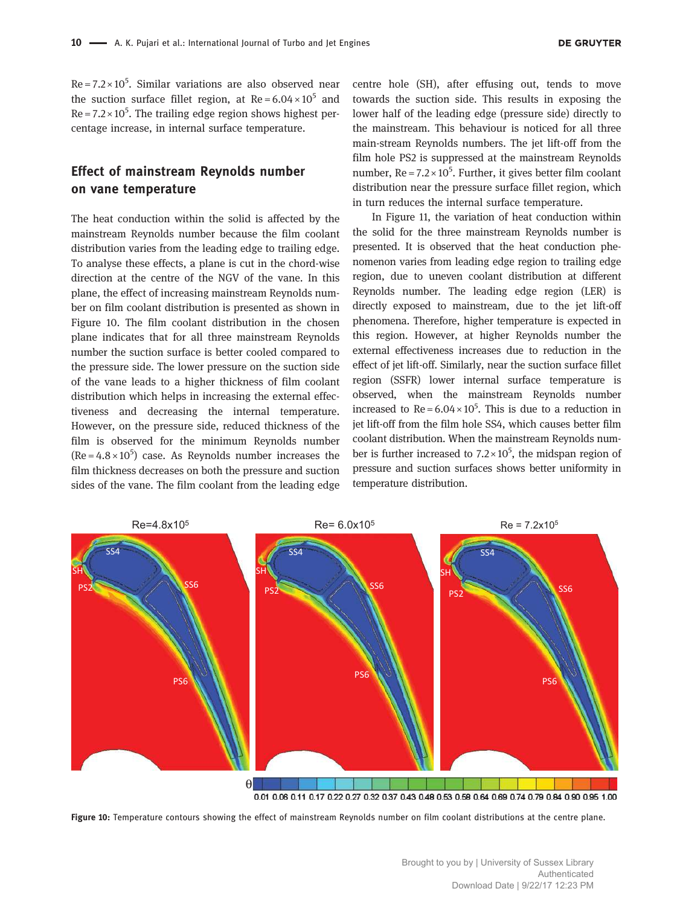$Re = 7.2 \times 10^5$ . Similar variations are also observed near the suction surface fillet region, at  $Re = 6.04 \times 10^5$  and  $Re = 7.2 \times 10^5$ . The trailing edge region shows highest percentage increase, in internal surface temperature.

#### Effect of mainstream Reynolds number on vane temperature

The heat conduction within the solid is affected by the mainstream Reynolds number because the film coolant distribution varies from the leading edge to trailing edge. To analyse these effects, a plane is cut in the chord-wise direction at the centre of the NGV of the vane. In this plane, the effect of increasing mainstream Reynolds number on film coolant distribution is presented as shown in Figure 10. The film coolant distribution in the chosen plane indicates that for all three mainstream Reynolds number the suction surface is better cooled compared to the pressure side. The lower pressure on the suction side of the vane leads to a higher thickness of film coolant distribution which helps in increasing the external effectiveness and decreasing the internal temperature. However, on the pressure side, reduced thickness of the film is observed for the minimum Reynolds number  $(Re = 4.8 \times 10^5)$  case. As Reynolds number increases the film thickness decreases on both the pressure and suction sides of the vane. The film coolant from the leading edge centre hole (SH), after effusing out, tends to move towards the suction side. This results in exposing the lower half of the leading edge (pressure side) directly to the mainstream. This behaviour is noticed for all three main-stream Reynolds numbers. The jet lift-off from the film hole PS2 is suppressed at the mainstream Reynolds number,  $Re = 7.2 \times 10^5$ . Further, it gives better film coolant distribution near the pressure surface fillet region, which in turn reduces the internal surface temperature.

In Figure 11, the variation of heat conduction within the solid for the three mainstream Reynolds number is presented. It is observed that the heat conduction phenomenon varies from leading edge region to trailing edge region, due to uneven coolant distribution at different Reynolds number. The leading edge region (LER) is directly exposed to mainstream, due to the jet lift-off phenomena. Therefore, higher temperature is expected in this region. However, at higher Reynolds number the external effectiveness increases due to reduction in the effect of jet lift-off. Similarly, near the suction surface fillet region (SSFR) lower internal surface temperature is observed, when the mainstream Reynolds number increased to  $Re = 6.04 \times 10^5$ . This is due to a reduction in jet lift-off from the film hole SS4, which causes better film coolant distribution. When the mainstream Reynolds number is further increased to  $7.2 \times 10^5$ , the midspan region of pressure and suction surfaces shows better uniformity in temperature distribution.



Figure 10: Temperature contours showing the effect of mainstream Reynolds number on film coolant distributions at the centre plane.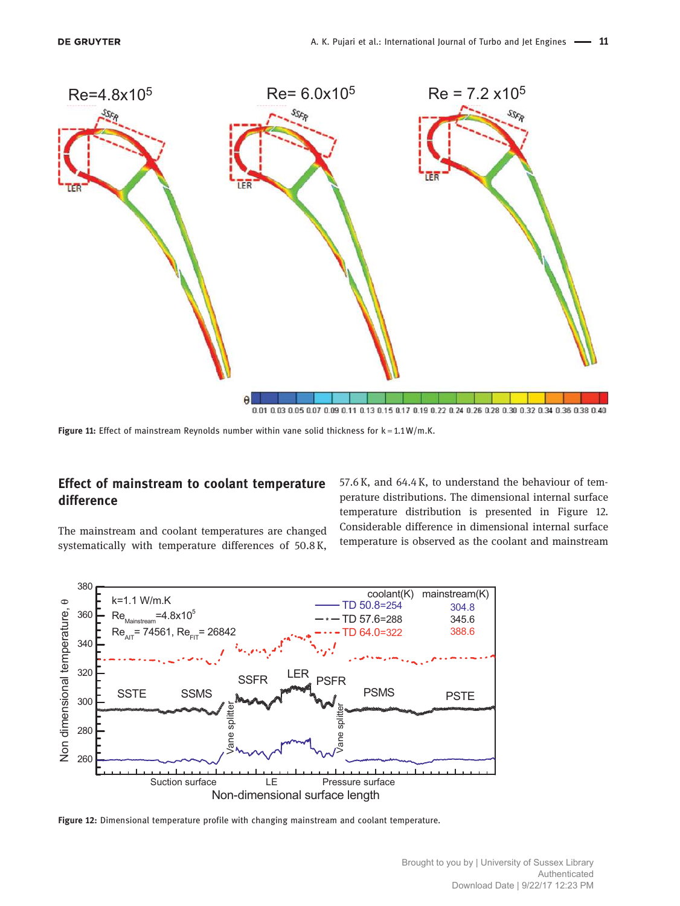

Figure 11: Effect of mainstream Reynolds number within vane solid thickness for  $k = 1.1 W/m$ .K.

## Effect of mainstream to coolant temperature difference

The mainstream and coolant temperatures are changed systematically with temperature differences of 50.8 K, 57.6 K, and 64.4 K, to understand the behaviour of temperature distributions. The dimensional internal surface temperature distribution is presented in Figure 12. Considerable difference in dimensional internal surface temperature is observed as the coolant and mainstream



Figure 12: Dimensional temperature profile with changing mainstream and coolant temperature.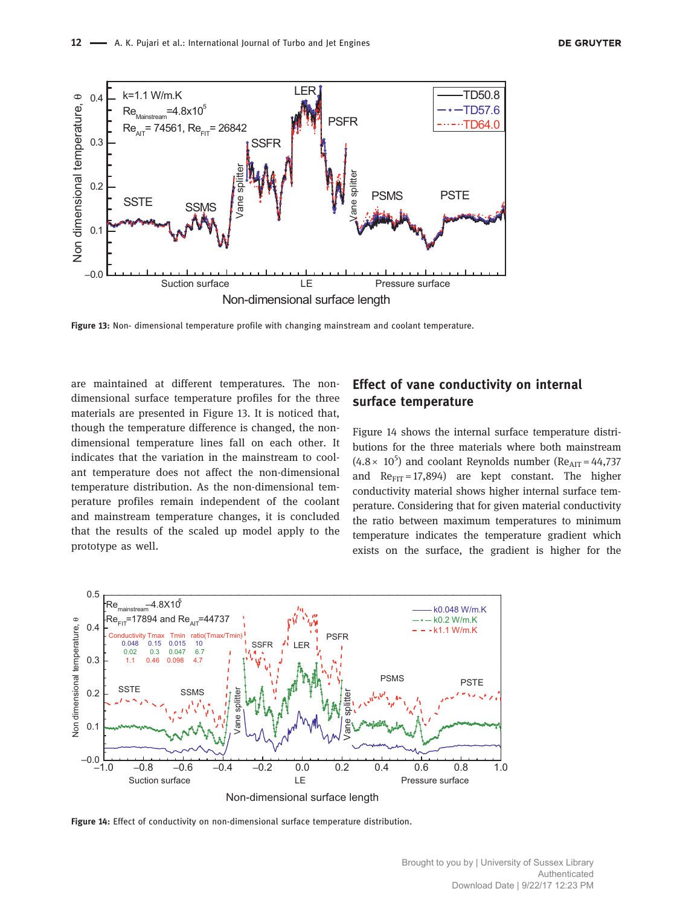

Figure 13: Non- dimensional temperature profile with changing mainstream and coolant temperature.

are maintained at different temperatures. The nondimensional surface temperature profiles for the three materials are presented in Figure 13. It is noticed that, though the temperature difference is changed, the nondimensional temperature lines fall on each other. It indicates that the variation in the mainstream to coolant temperature does not affect the non-dimensional temperature distribution. As the non-dimensional temperature profiles remain independent of the coolant and mainstream temperature changes, it is concluded that the results of the scaled up model apply to the prototype as well.

#### Effect of vane conductivity on internal surface temperature

Figure 14 shows the internal surface temperature distributions for the three materials where both mainstream  $(4.8 \times 10^5)$  and coolant Reynolds number (Re<sub>AIT</sub> = 44,737) and  $Re_{FIT} = 17,894$ ) are kept constant. The higher conductivity material shows higher internal surface temperature. Considering that for given material conductivity the ratio between maximum temperatures to minimum temperature indicates the temperature gradient which exists on the surface, the gradient is higher for the



Figure 14: Effect of conductivity on non-dimensional surface temperature distribution.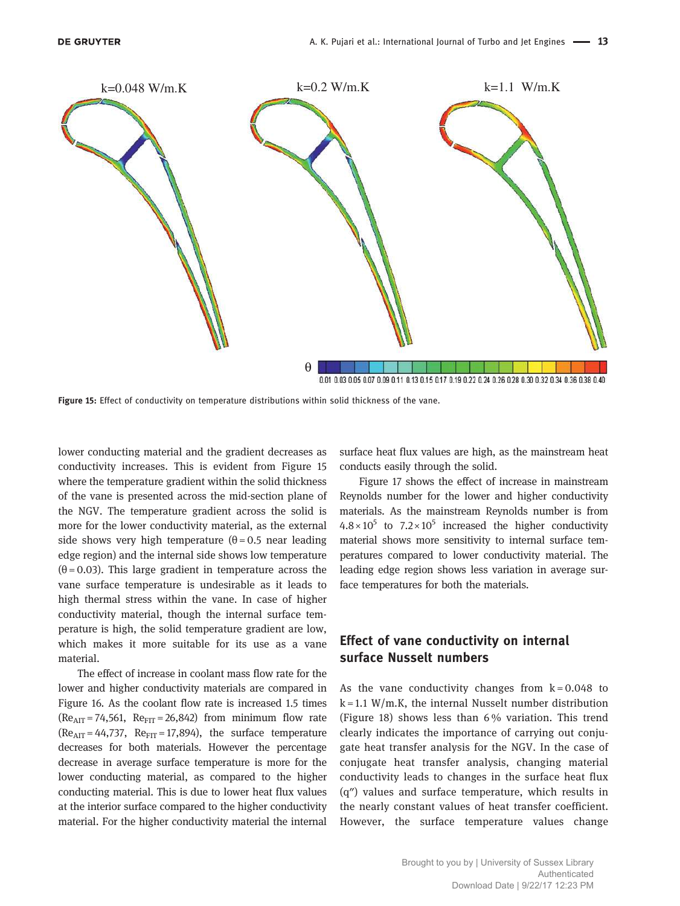

Figure 15: Effect of conductivity on temperature distributions within solid thickness of the vane.

lower conducting material and the gradient decreases as conductivity increases. This is evident from Figure 15 where the temperature gradient within the solid thickness of the vane is presented across the mid-section plane of the NGV. The temperature gradient across the solid is more for the lower conductivity material, as the external side shows very high temperature  $(\theta = 0.5$  near leading edge region) and the internal side shows low temperature  $(\theta = 0.03)$ . This large gradient in temperature across the vane surface temperature is undesirable as it leads to high thermal stress within the vane. In case of higher conductivity material, though the internal surface temperature is high, the solid temperature gradient are low, which makes it more suitable for its use as a vane material.

The effect of increase in coolant mass flow rate for the lower and higher conductivity materials are compared in Figure 16. As the coolant flow rate is increased 1.5 times  $(Re<sub>AIT</sub> = 74,561, Re<sub>FIT</sub> = 26,842)$  from minimum flow rate  $(Re<sub>AIT</sub> = 44,737, Re<sub>FIT</sub> = 17,894)$ , the surface temperature decreases for both materials. However the percentage decrease in average surface temperature is more for the lower conducting material, as compared to the higher conducting material. This is due to lower heat flux values at the interior surface compared to the higher conductivity material. For the higher conductivity material the internal surface heat flux values are high, as the mainstream heat conducts easily through the solid.

Figure 17 shows the effect of increase in mainstream Reynolds number for the lower and higher conductivity materials. As the mainstream Reynolds number is from  $4.8 \times 10^5$  to  $7.2 \times 10^5$  increased the higher conductivity material shows more sensitivity to internal surface temperatures compared to lower conductivity material. The leading edge region shows less variation in average surface temperatures for both the materials.

#### Effect of vane conductivity on internal surface Nusselt numbers

As the vane conductivity changes from  $k = 0.048$  to  $k = 1.1$  W/m.K, the internal Nusselt number distribution (Figure 18) shows less than 6 % variation. This trend clearly indicates the importance of carrying out conjugate heat transfer analysis for the NGV. In the case of conjugate heat transfer analysis, changing material conductivity leads to changes in the surface heat flux (q″) values and surface temperature, which results in the nearly constant values of heat transfer coefficient. However, the surface temperature values change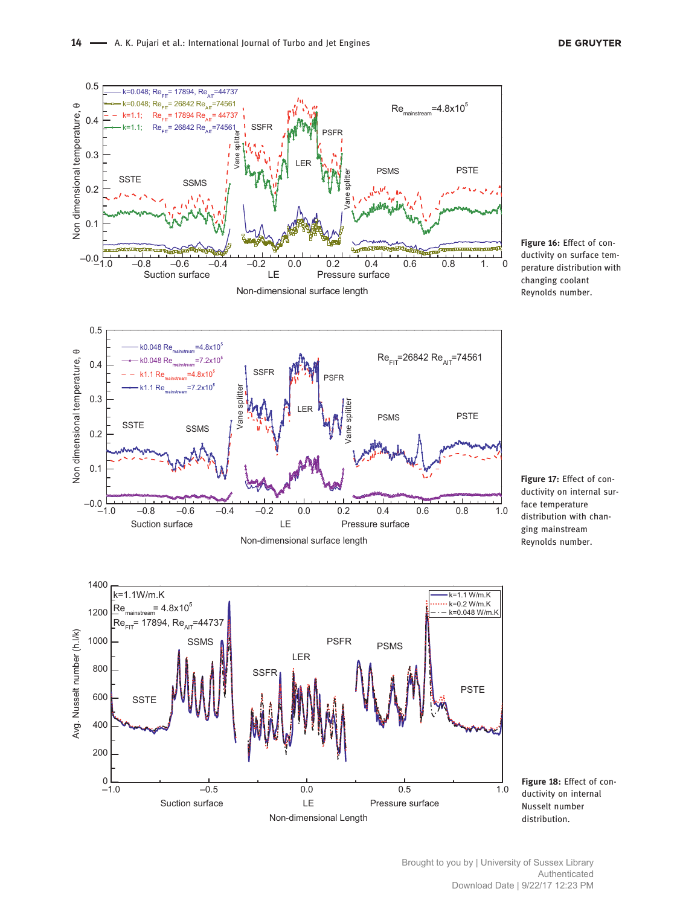

Figure 16: Effect of conductivity on surface temperature distribution with changing coolant Reynolds number.



Figure 17: Effect of conductivity on internal surface temperature distribution with changing mainstream Reynolds number.



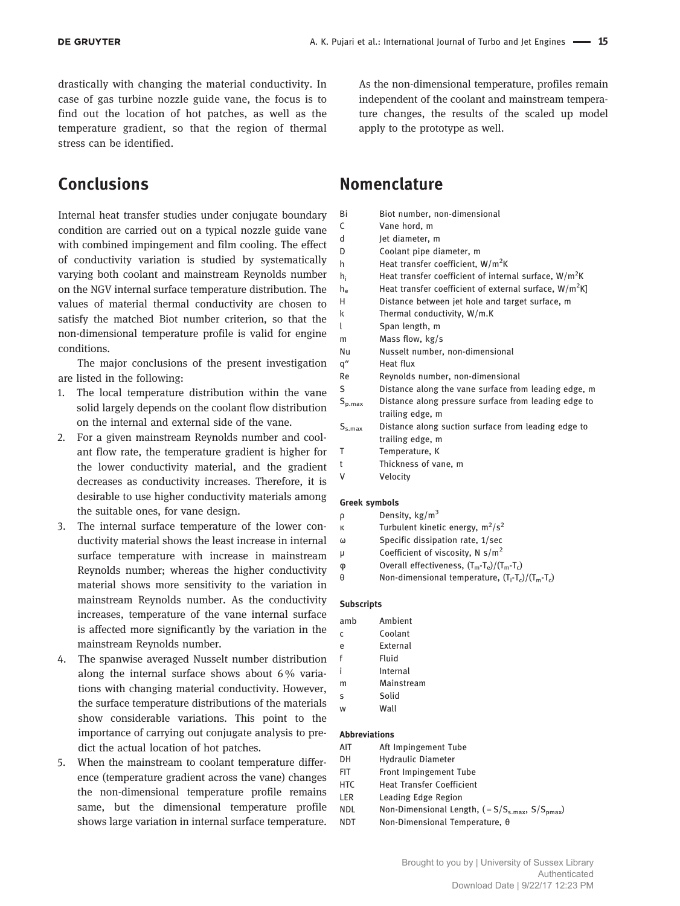drastically with changing the material conductivity. In case of gas turbine nozzle guide vane, the focus is to find out the location of hot patches, as well as the temperature gradient, so that the region of thermal stress can be identified.

# Conclusions

Internal heat transfer studies under conjugate boundary condition are carried out on a typical nozzle guide vane with combined impingement and film cooling. The effect of conductivity variation is studied by systematically varying both coolant and mainstream Reynolds number on the NGV internal surface temperature distribution. The values of material thermal conductivity are chosen to satisfy the matched Biot number criterion, so that the non-dimensional temperature profile is valid for engine conditions.

The major conclusions of the present investigation are listed in the following:

- 1. The local temperature distribution within the vane solid largely depends on the coolant flow distribution on the internal and external side of the vane.
- 2. For a given mainstream Reynolds number and coolant flow rate, the temperature gradient is higher for the lower conductivity material, and the gradient decreases as conductivity increases. Therefore, it is desirable to use higher conductivity materials among the suitable ones, for vane design.
- 3. The internal surface temperature of the lower conductivity material shows the least increase in internal surface temperature with increase in mainstream Reynolds number; whereas the higher conductivity material shows more sensitivity to the variation in mainstream Reynolds number. As the conductivity increases, temperature of the vane internal surface is affected more significantly by the variation in the mainstream Reynolds number.
- 4. The spanwise averaged Nusselt number distribution along the internal surface shows about 6 % variations with changing material conductivity. However, the surface temperature distributions of the materials show considerable variations. This point to the importance of carrying out conjugate analysis to predict the actual location of hot patches.
- 5. When the mainstream to coolant temperature difference (temperature gradient across the vane) changes the non-dimensional temperature profile remains same, but the dimensional temperature profile shows large variation in internal surface temperature.

As the non-dimensional temperature, profiles remain independent of the coolant and mainstream temperature changes, the results of the scaled up model apply to the prototype as well.

## Nomenclature

| Bi          | Biot number, non-dimensional                                             |
|-------------|--------------------------------------------------------------------------|
| C           | Vane hord, m                                                             |
| d           | Jet diameter, m                                                          |
| D           | Coolant pipe diameter, m                                                 |
| h           | Heat transfer coefficient, W/m <sup>2</sup> K                            |
| h,          | Heat transfer coefficient of internal surface, W/m <sup>2</sup> K        |
| $h_e$       | Heat transfer coefficient of external surface, $W/m^2K$                  |
| H           | Distance between jet hole and target surface, m                          |
| k           | Thermal conductivity, W/m.K                                              |
| l           | Span length, m                                                           |
| m           | Mass flow, kg/s                                                          |
| Nu          | Nusselt number, non-dimensional                                          |
| q"          | Heat flux                                                                |
| Re          | Reynolds number, non-dimensional                                         |
| S           | Distance along the vane surface from leading edge, m                     |
| $S_{p,max}$ | Distance along pressure surface from leading edge to<br>trailing edge, m |
| $S_{s,max}$ | Distance along suction surface from leading edge to<br>trailing edge, m  |
| Т           | Temperature, K                                                           |
| t           | Thickness of vane, m                                                     |
| ٧           | Velocity                                                                 |
|             |                                                                          |

#### Greek symbols

| Density, $\text{kg/m}^3$<br>ρ |
|-------------------------------|
|-------------------------------|

- κ Turbulent kinetic energy,  $m^2/s^2$
- ω Specific dissipation rate, 1/sec
- μ Coefficient of viscosity,  $N$  s/m<sup>2</sup>
- $\varphi$  Overall effectiveness,  $(T_m T_e)/(T_m T_c)$
- θ Non-dimensional temperature,  $(T_i-T_c)/(T_m-T_c)$

#### Subscripts

| amb | Ambient    |
|-----|------------|
| Ċ   | Coolant    |
| e   | External   |
| f   | Fluid      |
| i   | Internal   |
| m   | Mainstream |
| S   | Solid      |
| w   | Wall       |
|     |            |
|     |            |

#### Abbreviations

| AIT   | Aft Impingement Tube     |
|-------|--------------------------|
| $N+1$ | the described Discovered |

- DH Hydraulic Diameter
- FIT Front Impingement Tube
- HTC Heat Transfer Coefficient
- LER Leading Edge Region
- NDL Non-Dimensional Length,  $( = S/S<sub>s.max</sub>, S/S<sub>pmax</sub>)$ NDT Non-Dimensional Temperature, θ